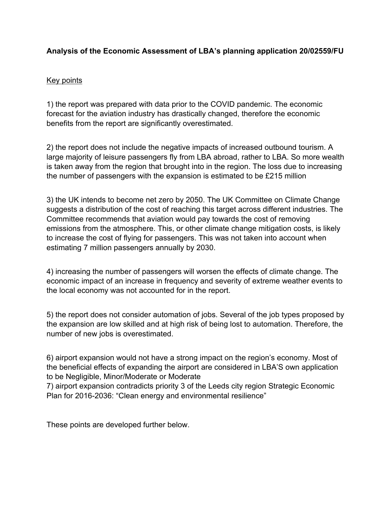# **Analysis of the Economic Assessment of LBA's planning application 20/02559/FU**

# Key points

1) the report was prepared with data prior to the COVID pandemic. The economic forecast for the aviation industry has drastically changed, therefore the economic benefits from the report are significantly overestimated.

2) the report does not include the negative impacts of increased outbound tourism. A large majority of leisure passengers fly from LBA abroad, rather to LBA. So more wealth is taken away from the region that brought into in the region. The loss due to increasing the number of passengers with the expansion is estimated to be £215 million

3) the UK intends to become net zero by 2050. The UK Committee on Climate Change suggests a distribution of the cost of reaching this target across different industries. The Committee recommends that aviation would pay towards the cost of removing emissions from the atmosphere. This, or other climate change mitigation costs, is likely to increase the cost of flying for passengers. This was not taken into account when estimating 7 million passengers annually by 2030.

4) increasing the number of passengers will worsen the effects of climate change. The economic impact of an increase in frequency and severity of extreme weather events to the local economy was not accounted for in the report.

5) the report does not consider automation of jobs. Several of the job types proposed by the expansion are low skilled and at high risk of being lost to automation. Therefore, the number of new jobs is overestimated.

6) airport expansion would not have a strong impact on the region's economy. Most of the beneficial effects of expanding the airport are considered in LBA'S own application to be Negligible, Minor/Moderate or Moderate

7) airport expansion contradicts priority 3 of the Leeds city region Strategic Economic Plan for 2016-2036: "Clean energy and environmental resilience"

These points are developed further below.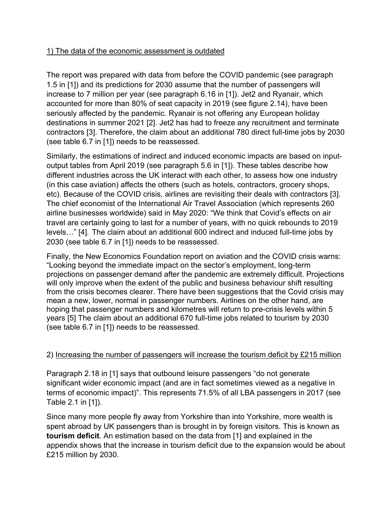# 1) The data of the economic assessment is outdated

The report was prepared with data from before the COVID pandemic (see paragraph 1.5 in [1]) and its predictions for 2030 assume that the number of passengers will increase to 7 million per year (see paragraph 6.16 in [1]). Jet2 and Ryanair, which accounted for more than 80% of seat capacity in 2019 (see figure 2.14), have been seriously affected by the pandemic. Ryanair is not offering any European holiday destinations in summer 2021 [2]. Jet2 has had to freeze any recruitment and terminate contractors [3]. Therefore, the claim about an additional 780 direct full-time jobs by 2030 (see table 6.7 in [1]) needs to be reassessed.

Similarly, the estimations of indirect and induced economic impacts are based on inputoutput tables from April 2019 (see paragraph 5.6 in [1]). These tables describe how different industries across the UK interact with each other, to assess how one industry (in this case aviation) affects the others (such as hotels, contractors, grocery shops, etc). Because of the COVID crisis, airlines are revisiting their deals with contractors [3]. The chief economist of the International Air Travel Association (which represents 260 airline businesses worldwide) said in May 2020: "We think that Covid's effects on air travel are certainly going to last for a number of years, with no quick rebounds to 2019 levels…" [4]. The claim about an additional 600 indirect and induced full-time jobs by 2030 (see table 6.7 in [1]) needs to be reassessed.

Finally, the New Economics Foundation report on aviation and the COVID crisis warns: "Looking beyond the immediate impact on the sector's employment, long-term projections on passenger demand after the pandemic are extremely difficult. Projections will only improve when the extent of the public and business behaviour shift resulting from the crisis becomes clearer. There have been suggestions that the Covid crisis may mean a new, lower, normal in passenger numbers. Airlines on the other hand, are hoping that passenger numbers and kilometres will return to pre-crisis levels within 5 years [5] The claim about an additional 670 full-time jobs related to tourism by 2030 (see table 6.7 in [1]) needs to be reassessed.

# 2) Increasing the number of passengers will increase the tourism deficit by £215 million

Paragraph 2.18 in [1] says that outbound leisure passengers "do not generate significant wider economic impact (and are in fact sometimes viewed as a negative in terms of economic impact)". This represents 71.5% of all LBA passengers in 2017 (see Table 2.1 in [1]).

Since many more people fly away from Yorkshire than into Yorkshire, more wealth is spent abroad by UK passengers than is brought in by foreign visitors. This is known as **tourism deficit**. An estimation based on the data from [1] and explained in the appendix shows that the increase in tourism deficit due to the expansion would be about £215 million by 2030.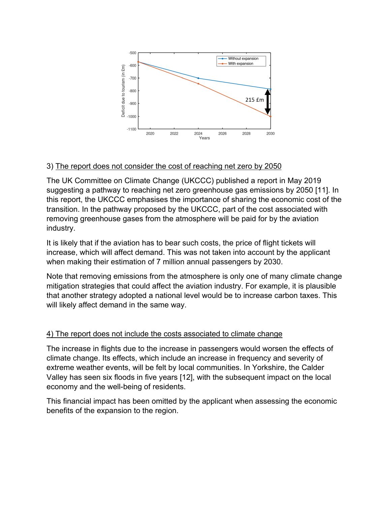

# 3) The report does not consider the cost of reaching net zero by 2050

The UK Committee on Climate Change (UKCCC) published a report in May 2019 suggesting a pathway to reaching net zero greenhouse gas emissions by 2050 [11]. In this report, the UKCCC emphasises the importance of sharing the economic cost of the transition. In the pathway proposed by the UKCCC, part of the cost associated with removing greenhouse gases from the atmosphere will be paid for by the aviation industry.

It is likely that if the aviation has to bear such costs, the price of flight tickets will increase, which will affect demand. This was not taken into account by the applicant when making their estimation of 7 million annual passengers by 2030.

Note that removing emissions from the atmosphere is only one of many climate change mitigation strategies that could affect the aviation industry. For example, it is plausible that another strategy adopted a national level would be to increase carbon taxes. This will likely affect demand in the same way.

# 4) The report does not include the costs associated to climate change

The increase in flights due to the increase in passengers would worsen the effects of climate change. Its effects, which include an increase in frequency and severity of extreme weather events, will be felt by local communities. In Yorkshire, the Calder Valley has seen six floods in five years [12], with the subsequent impact on the local economy and the well-being of residents.

This financial impact has been omitted by the applicant when assessing the economic benefits of the expansion to the region.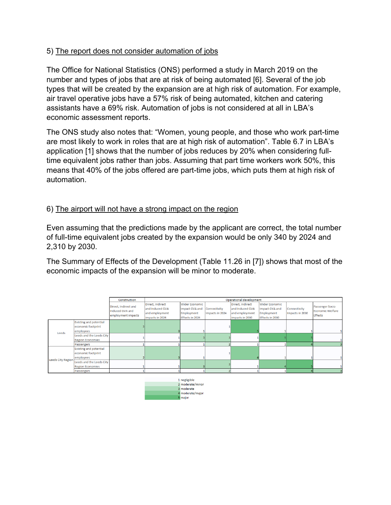# 5) The report does not consider automation of jobs

The Office for National Statistics (ONS) performed a study in March 2019 on the number and types of jobs that are at risk of being automated [6]. Several of the job types that will be created by the expansion are at high risk of automation. For example, air travel operative jobs have a 57% risk of being automated, kitchen and catering assistants have a 69% risk. Automation of jobs is not considered at all in LBA's economic assessment reports.

The ONS study also notes that: "Women, young people, and those who work part-time are most likely to work in roles that are at high risk of automation". Table 6.7 in LBA's application [1] shows that the number of jobs reduces by 20% when considering fulltime equivalent jobs rather than jobs. Assuming that part time workers work 50%, this means that 40% of the jobs offered are part-time jobs, which puts them at high risk of automation.

#### 6) The airport will not have a strong impact on the region

Even assuming that the predictions made by the applicant are correct, the total number of full-time equivalent jobs created by the expansion would be only 340 by 2024 and 2,310 by 2030.

The Summary of Effects of the Development (Table 11.26 in [7]) shows that most of the economic impacts of the expansion will be minor to moderate.

|                          |                          | Construction                                                  | Operational development                                                  |                                                                          |                                 |                                                                          |                                                                                 |                                 |                                                       |
|--------------------------|--------------------------|---------------------------------------------------------------|--------------------------------------------------------------------------|--------------------------------------------------------------------------|---------------------------------|--------------------------------------------------------------------------|---------------------------------------------------------------------------------|---------------------------------|-------------------------------------------------------|
|                          |                          | Direct, Indirect and<br>Induced GVA and<br>employment impacts | Direct, Indirect<br>and Induced GVA<br>and employment<br>impacts in 2024 | <b>Wider Economic</b><br>Impact GVA and<br>Employment<br>Effects in 2024 | Connectivity<br>Impacts in 2024 | Direct, Indirect<br>and Induced GVA<br>and employment<br>impacts in 2030 | <b>Wider Economic</b><br>Impact GVA and<br><b>Employment</b><br>Effects in 2030 | Connectivity<br>Impacts in 2030 | Passenger Socio<br>Economic Welfare<br><b>Effects</b> |
| Leeds                    | Existing and potential   |                                                               |                                                                          |                                                                          |                                 |                                                                          |                                                                                 |                                 |                                                       |
|                          | economic footprint       |                                                               |                                                                          |                                                                          |                                 |                                                                          |                                                                                 |                                 |                                                       |
|                          | employees                |                                                               |                                                                          |                                                                          |                                 |                                                                          |                                                                                 |                                 |                                                       |
|                          | Leeds and the Leeds City |                                                               |                                                                          |                                                                          |                                 |                                                                          |                                                                                 |                                 |                                                       |
|                          | <b>Region Economies</b>  |                                                               |                                                                          |                                                                          |                                 |                                                                          |                                                                                 |                                 |                                                       |
|                          | Passengers               |                                                               |                                                                          |                                                                          |                                 |                                                                          |                                                                                 |                                 |                                                       |
| <b>Leeds City Region</b> | Existing and potential   |                                                               |                                                                          |                                                                          |                                 |                                                                          |                                                                                 |                                 |                                                       |
|                          | economic footprint       |                                                               |                                                                          |                                                                          |                                 |                                                                          |                                                                                 |                                 |                                                       |
|                          | employees                |                                                               |                                                                          |                                                                          |                                 |                                                                          |                                                                                 |                                 |                                                       |
|                          | Leeds and the Leeds City |                                                               |                                                                          |                                                                          |                                 |                                                                          |                                                                                 |                                 |                                                       |
|                          | <b>Region Economies</b>  |                                                               |                                                                          |                                                                          |                                 |                                                                          |                                                                                 |                                 |                                                       |
|                          | Passengers               |                                                               |                                                                          |                                                                          |                                 |                                                                          |                                                                                 |                                 |                                                       |
|                          |                          |                                                               |                                                                          |                                                                          |                                 |                                                                          |                                                                                 |                                 |                                                       |

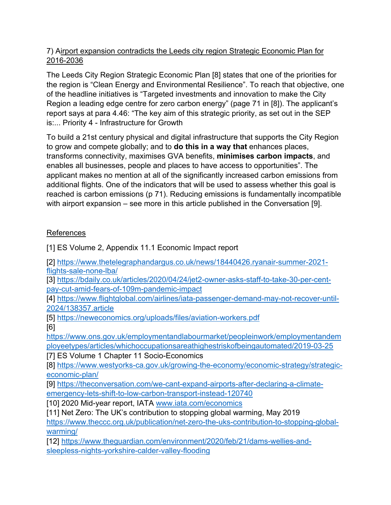# 7) Airport expansion contradicts the Leeds city region Strategic Economic Plan for 2016-2036

The Leeds City Region Strategic Economic Plan [8] states that one of the priorities for the region is "Clean Energy and Environmental Resilience". To reach that objective, one of the headline initiatives is "Targeted investments and innovation to make the City Region a leading edge centre for zero carbon energy" (page 71 in [8]). The applicant's report says at para 4.46: "The key aim of this strategic priority, as set out in the SEP is:... Priority 4 - Infrastructure for Growth

To build a 21st century physical and digital infrastructure that supports the City Region to grow and compete globally; and to **do this in a way that** enhances places, transforms connectivity, maximises GVA benefits, **minimises carbon impacts**, and enables all businesses, people and places to have access to opportunities". The applicant makes no mention at all of the significantly increased carbon emissions from additional flights. One of the indicators that will be used to assess whether this goal is reached is carbon emissions (p 71). Reducing emissions is fundamentally incompatible with airport expansion – see more in this article published in the Conversation [9].

# References

[1] ES Volume 2, Appendix 11.1 Economic Impact report

[2] https://www.thetelegraphandargus.co.uk/news/18440426.ryanair-summer-2021 flights-sale-none-lba/

[3] https://bdaily.co.uk/articles/2020/04/24/jet2-owner-asks-staff-to-take-30-per-centpay-cut-amid-fears-of-109m-pandemic-impact

[4] https://www.flightglobal.com/airlines/iata-passenger-demand-may-not-recover-until-2024/138357.article

[5] https://neweconomics.org/uploads/files/aviation-workers.pdf [6]

https://www.ons.gov.uk/employmentandlabourmarket/peopleinwork/employmentandem ployeetypes/articles/whichoccupationsareathighestriskofbeingautomated/2019-03-25

[7] ES Volume 1 Chapter 11 Socio-Economics

[8] https://www.westyorks-ca.gov.uk/growing-the-economy/economic-strategy/strategiceconomic-plan/

[9] https://theconversation.com/we-cant-expand-airports-after-declaring-a-climateemergency-lets-shift-to-low-carbon-transport-instead-120740

[10] 2020 Mid-year report, IATA www.iata.com/economics

[11] Net Zero: The UK's contribution to stopping global warming, May 2019 https://www.theccc.org.uk/publication/net-zero-the-uks-contribution-to-stopping-global-

warming/

[12] https://www.theguardian.com/environment/2020/feb/21/dams-wellies-andsleepless-nights-yorkshire-calder-valley-flooding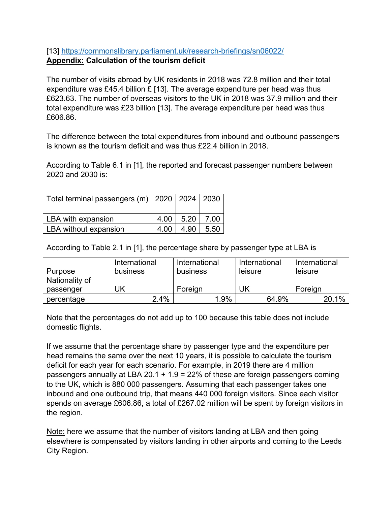# [13] https://commonslibrary.parliament.uk/research-briefings/sn06022/ **Appendix: Calculation of the tourism deficit**

The number of visits abroad by UK residents in 2018 was 72.8 million and their total expenditure was £45.4 billion £ [13]. The average expenditure per head was thus £623.63. The number of overseas visitors to the UK in 2018 was 37.9 million and their total expenditure was £23 billion [13]. The average expenditure per head was thus £606.86.

The difference between the total expenditures from inbound and outbound passengers is known as the tourism deficit and was thus £22.4 billion in 2018.

According to Table 6.1 in [1], the reported and forecast passenger numbers between 2020 and 2030 is:

| Total terminal passengers (m) $ 2020 2024 2030$ |      |      |      |
|-------------------------------------------------|------|------|------|
| LBA with expansion                              | 4.00 | 5.20 | 7.00 |
| LBA without expansion                           | 4.00 | 4.90 | 5.50 |

According to Table 2.1 in [1], the percentage share by passenger type at LBA is

|                | International | International | International | International |
|----------------|---------------|---------------|---------------|---------------|
| Purpose        | business      | business      | leisure       | leisure       |
| Nationality of |               |               |               |               |
| passenger      | UΚ            | Foreign       | UK            | Foreign       |
| percentage     | 2.4%          | 1.9%          | 64.9%         | 20.1%         |

Note that the percentages do not add up to 100 because this table does not include domestic flights.

If we assume that the percentage share by passenger type and the expenditure per head remains the same over the next 10 years, it is possible to calculate the tourism deficit for each year for each scenario. For example, in 2019 there are 4 million passengers annually at LBA 20.1 + 1.9 = 22% of these are foreign passengers coming to the UK, which is 880 000 passengers. Assuming that each passenger takes one inbound and one outbound trip, that means 440 000 foreign visitors. Since each visitor spends on average £606.86, a total of £267.02 million will be spent by foreign visitors in the region.

Note: here we assume that the number of visitors landing at LBA and then going elsewhere is compensated by visitors landing in other airports and coming to the Leeds City Region.